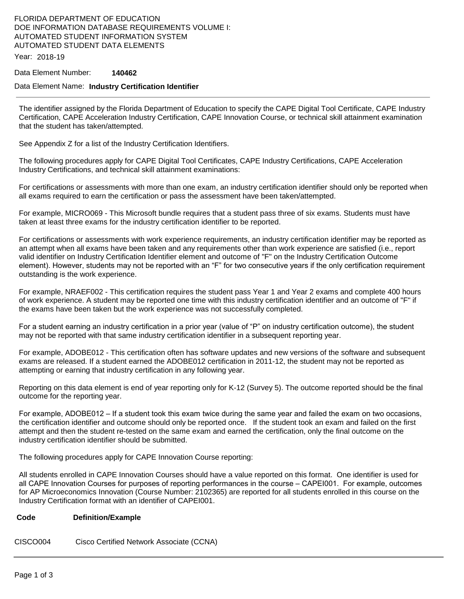# FLORIDA DEPARTMENT OF EDUCATION DOE INFORMATION DATABASE REQUIREMENTS VOLUME I: AUTOMATED STUDENT INFORMATION SYSTEM AUTOMATED STUDENT DATA ELEMENTS

Year: 2018-19

#### Data Element Number: **140462**

#### Data Element Name: **Industry Certification Identifier**

The identifier assigned by the Florida Department of Education to specify the CAPE Digital Tool Certificate, CAPE Industry Certification, CAPE Acceleration Industry Certification, CAPE Innovation Course, or technical skill attainment examination that the student has taken/attempted.

See Appendix Z for a list of the Industry Certification Identifiers.

The following procedures apply for CAPE Digital Tool Certificates, CAPE Industry Certifications, CAPE Acceleration Industry Certifications, and technical skill attainment examinations:

For certifications or assessments with more than one exam, an industry certification identifier should only be reported when all exams required to earn the certification or pass the assessment have been taken/attempted.

For example, MICRO069 - This Microsoft bundle requires that a student pass three of six exams. Students must have taken at least three exams for the industry certification identifier to be reported.

For certifications or assessments with work experience requirements, an industry certification identifier may be reported as an attempt when all exams have been taken and any requirements other than work experience are satisfied (i.e., report valid identifier on Industry Certification Identifier element and outcome of "F" on the Industry Certification Outcome element). However, students may not be reported with an "F" for two consecutive years if the only certification requirement outstanding is the work experience.

For example, NRAEF002 - This certification requires the student pass Year 1 and Year 2 exams and complete 400 hours of work experience. A student may be reported one time with this industry certification identifier and an outcome of "F" if the exams have been taken but the work experience was not successfully completed.

For a student earning an industry certification in a prior year (value of "P" on industry certification outcome), the student may not be reported with that same industry certification identifier in a subsequent reporting year.

For example, ADOBE012 - This certification often has software updates and new versions of the software and subsequent exams are released. If a student earned the ADOBE012 certification in 2011-12, the student may not be reported as attempting or earning that industry certification in any following year.

Reporting on this data element is end of year reporting only for K-12 (Survey 5). The outcome reported should be the final outcome for the reporting year.

For example, ADOBE012 – If a student took this exam twice during the same year and failed the exam on two occasions, the certification identifier and outcome should only be reported once. If the student took an exam and failed on the first attempt and then the student re-tested on the same exam and earned the certification, only the final outcome on the industry certification identifier should be submitted.

The following procedures apply for CAPE Innovation Course reporting:

All students enrolled in CAPE Innovation Courses should have a value reported on this format. One identifier is used for all CAPE Innovation Courses for purposes of reporting performances in the course – CAPEI001. For example, outcomes for AP Microeconomics Innovation (Course Number: 2102365) are reported for all students enrolled in this course on the Industry Certification format with an identifier of CAPEI001.

#### **Code Definition/Example**

CISCO004 Cisco Certified Network Associate (CCNA)